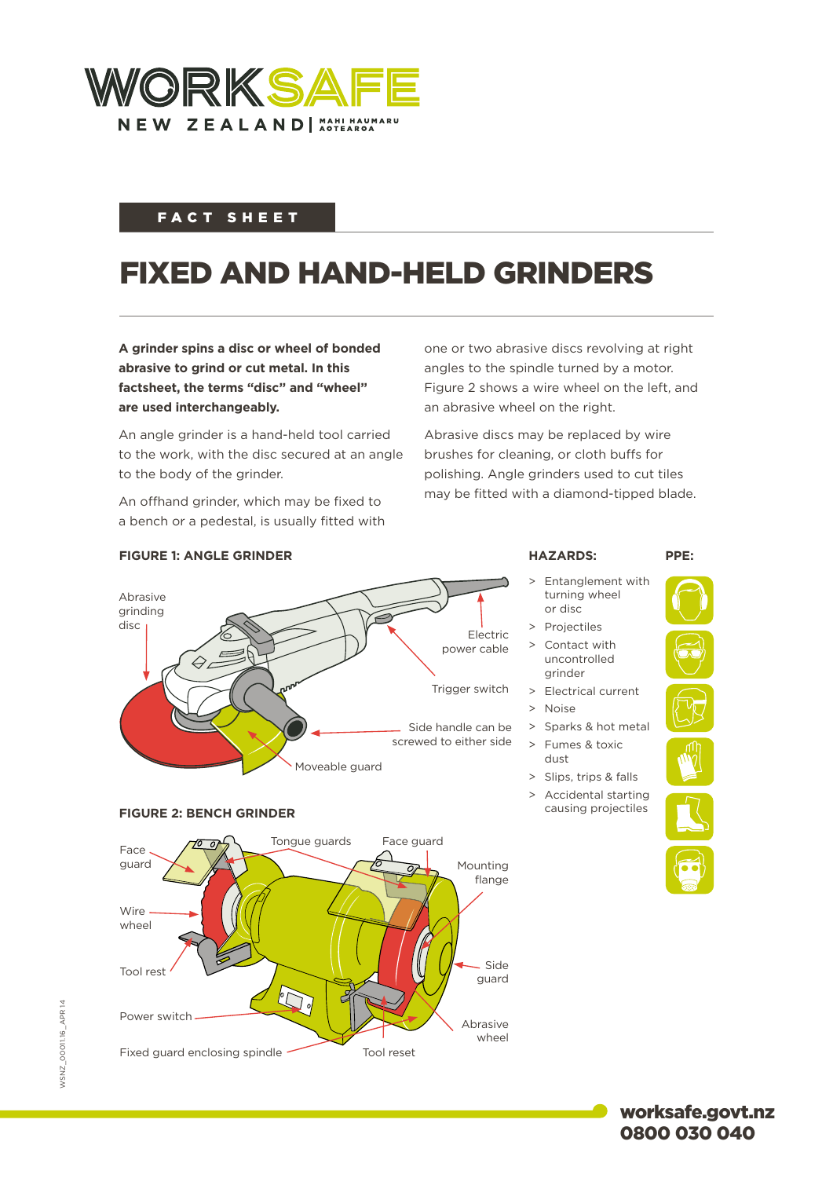

## FACT SHEET

## FIXED AND HAND-HELD GRINDERS

**A grinder spins a disc or wheel of bonded abrasive to grind or cut metal. In this factsheet, the terms "disc" and "wheel" are used interchangeably.**

An angle grinder is a hand-held tool carried to the work, with the disc secured at an angle to the body of the grinder.

An offhand grinder, which may be fixed to a bench or a pedestal, is usually fitted with

**FIGURE 1: ANGLE GRINDER**

one or two abrasive discs revolving at right angles to the spindle turned by a motor. Figure 2 shows a wire wheel on the left, and an abrasive wheel on the right.

Abrasive discs may be replaced by wire brushes for cleaning, or cloth buffs for polishing. Angle grinders used to cut tiles may be fitted with a diamond-tipped blade.



Entanglement with turning wheel or disc

**HAZARDS: PPE:**

- > Projectiles
- > Contact with uncontrolled grinder
- > Electrical current
- > Noise
- > Sparks & hot metal > Fumes & toxic
- dust
- > Slips, trips & falls
- > Accidental starting causing projectiles



worksafe.govt.nz 0800 030 040

Tongue guards Face guard Face guard Mounting  $\overline{o}$ flange Wire wheel Side Tool rest guard **DI** Power switch Abrasive wheel Fixed guard enclosing spindle Tool reset

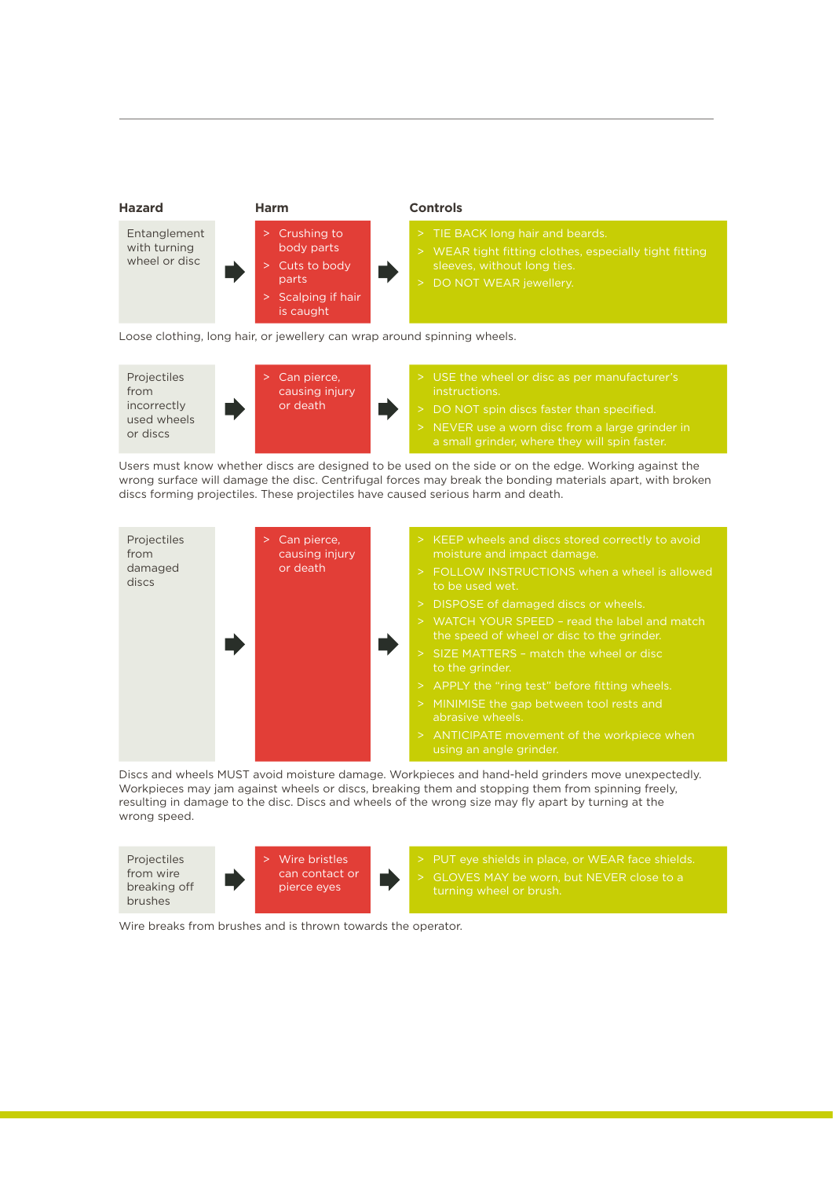

Projectiles from incorrectly used wheels or discs Can pierce, causing injury or death USE the wheel or disc as per manufacturer's DO NOT spin discs faster than specified.

Users must know whether discs are designed to be used on the side or on the edge. Working against the wrong surface will damage the disc. Centrifugal forces may break the bonding materials apart, with broken discs forming projectiles. These projectiles have caused serious harm and death.



Discs and wheels MUST avoid moisture damage. Workpieces and hand-held grinders move unexpectedly. Workpieces may jam against wheels or discs, breaking them and stopping them from spinning freely, resulting in damage to the disc. Discs and wheels of the wrong size may fly apart by turning at the wrong speed.

Projectiles from wire breaking off brushes Wire bristles can contact or pierce eyes GLOVES MAY be worn, but NEVER close to a

Wire breaks from brushes and is thrown towards the operator.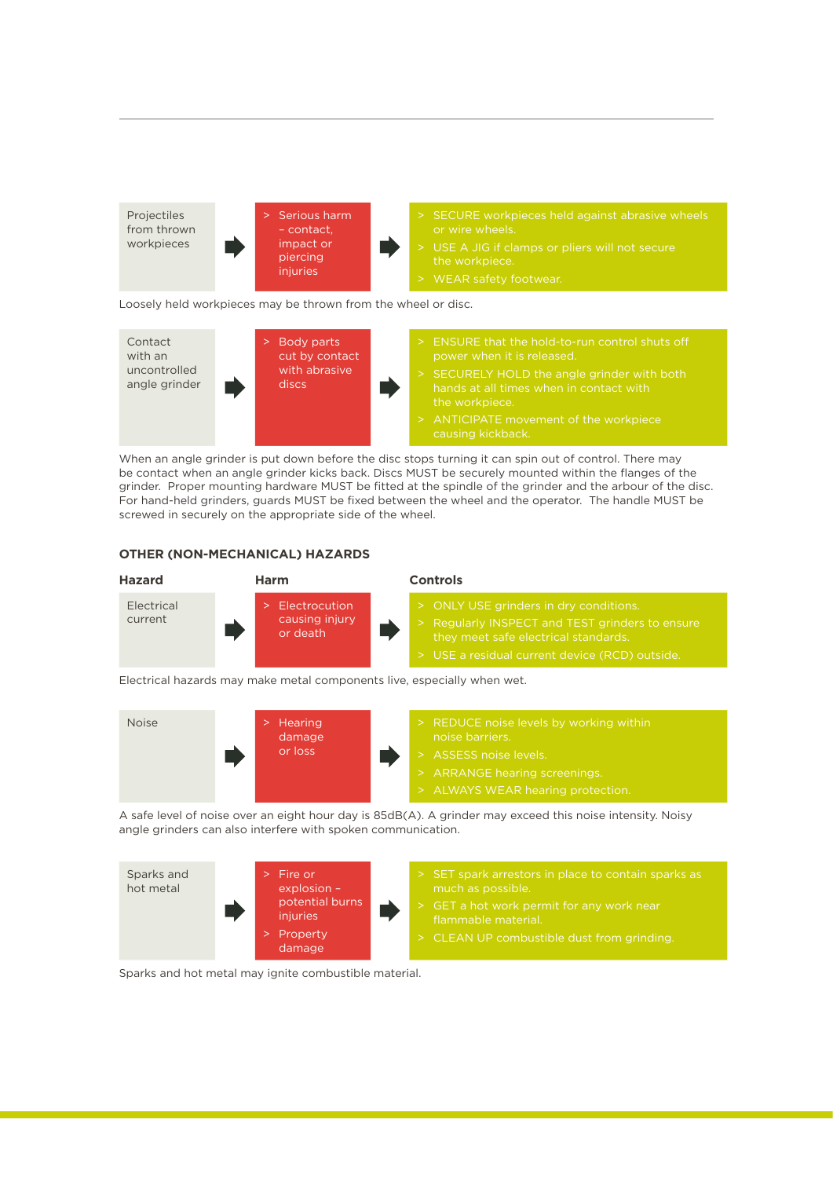

Loosely held workpieces may be thrown from the wheel or disc.



When an angle grinder is put down before the disc stops turning it can spin out of control. There may be contact when an angle grinder kicks back. Discs MUST be securely mounted within the flanges of the grinder. Proper mounting hardware MUST be fitted at the spindle of the grinder and the arbour of the disc. For hand-held grinders, guards MUST be fixed between the wheel and the operator. The handle MUST be screwed in securely on the appropriate side of the wheel.

## **OTHER (NON-MECHANICAL) HAZARDS**



Electrical hazards may make metal components live, especially when wet.



A safe level of noise over an eight hour day is 85dB(A). A grinder may exceed this noise intensity. Noisy angle grinders can also interfere with spoken communication.



Sparks and hot metal may ignite combustible material.